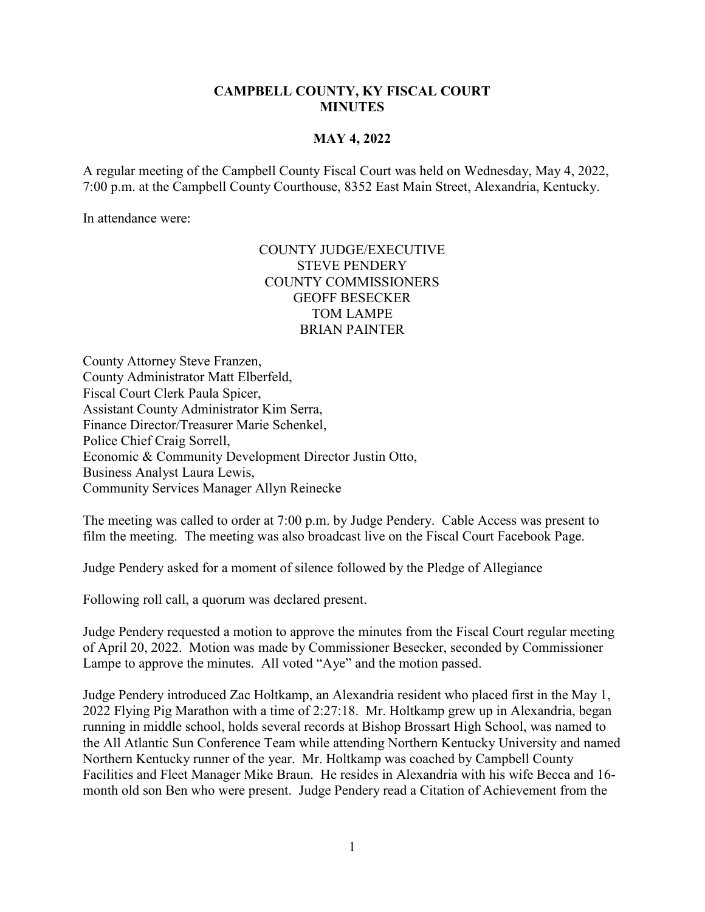## **CAMPBELL COUNTY, KY FISCAL COURT MINUTES**

## **MAY 4, 2022**

A regular meeting of the Campbell County Fiscal Court was held on Wednesday, May 4, 2022, 7:00 p.m. at the Campbell County Courthouse, 8352 East Main Street, Alexandria, Kentucky.

In attendance were:

## COUNTY JUDGE/EXECUTIVE STEVE PENDERY COUNTY COMMISSIONERS GEOFF BESECKER TOM LAMPE BRIAN PAINTER

County Attorney Steve Franzen, County Administrator Matt Elberfeld, Fiscal Court Clerk Paula Spicer, Assistant County Administrator Kim Serra, Finance Director/Treasurer Marie Schenkel, Police Chief Craig Sorrell, Economic & Community Development Director Justin Otto, Business Analyst Laura Lewis, Community Services Manager Allyn Reinecke

The meeting was called to order at 7:00 p.m. by Judge Pendery. Cable Access was present to film the meeting. The meeting was also broadcast live on the Fiscal Court Facebook Page.

Judge Pendery asked for a moment of silence followed by the Pledge of Allegiance

Following roll call, a quorum was declared present.

Judge Pendery requested a motion to approve the minutes from the Fiscal Court regular meeting of April 20, 2022. Motion was made by Commissioner Besecker, seconded by Commissioner Lampe to approve the minutes. All voted "Aye" and the motion passed.

Judge Pendery introduced Zac Holtkamp, an Alexandria resident who placed first in the May 1, 2022 Flying Pig Marathon with a time of 2:27:18. Mr. Holtkamp grew up in Alexandria, began running in middle school, holds several records at Bishop Brossart High School, was named to the All Atlantic Sun Conference Team while attending Northern Kentucky University and named Northern Kentucky runner of the year. Mr. Holtkamp was coached by Campbell County Facilities and Fleet Manager Mike Braun. He resides in Alexandria with his wife Becca and 16 month old son Ben who were present. Judge Pendery read a Citation of Achievement from the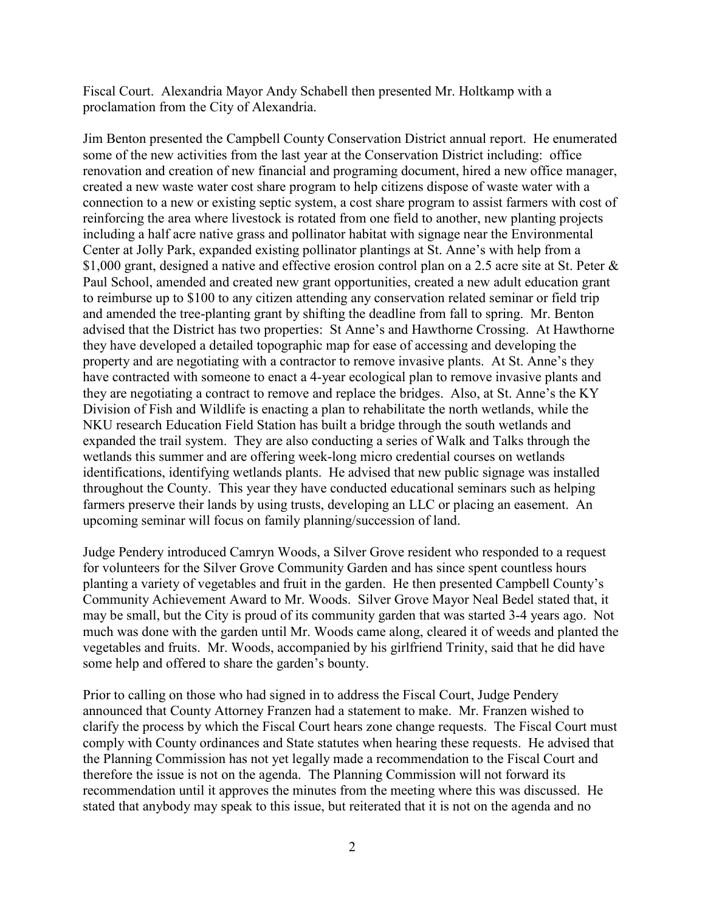Fiscal Court. Alexandria Mayor Andy Schabell then presented Mr. Holtkamp with a proclamation from the City of Alexandria.

Jim Benton presented the Campbell County Conservation District annual report. He enumerated some of the new activities from the last year at the Conservation District including: office renovation and creation of new financial and programing document, hired a new office manager, created a new waste water cost share program to help citizens dispose of waste water with a connection to a new or existing septic system, a cost share program to assist farmers with cost of reinforcing the area where livestock is rotated from one field to another, new planting projects including a half acre native grass and pollinator habitat with signage near the Environmental Center at Jolly Park, expanded existing pollinator plantings at St. Anne's with help from a \$1,000 grant, designed a native and effective erosion control plan on a 2.5 acre site at St. Peter & Paul School, amended and created new grant opportunities, created a new adult education grant to reimburse up to \$100 to any citizen attending any conservation related seminar or field trip and amended the tree-planting grant by shifting the deadline from fall to spring. Mr. Benton advised that the District has two properties: St Anne's and Hawthorne Crossing. At Hawthorne they have developed a detailed topographic map for ease of accessing and developing the property and are negotiating with a contractor to remove invasive plants. At St. Anne's they have contracted with someone to enact a 4-year ecological plan to remove invasive plants and they are negotiating a contract to remove and replace the bridges. Also, at St. Anne's the KY Division of Fish and Wildlife is enacting a plan to rehabilitate the north wetlands, while the NKU research Education Field Station has built a bridge through the south wetlands and expanded the trail system. They are also conducting a series of Walk and Talks through the wetlands this summer and are offering week-long micro credential courses on wetlands identifications, identifying wetlands plants. He advised that new public signage was installed throughout the County. This year they have conducted educational seminars such as helping farmers preserve their lands by using trusts, developing an LLC or placing an easement. An upcoming seminar will focus on family planning/succession of land.

Judge Pendery introduced Camryn Woods, a Silver Grove resident who responded to a request for volunteers for the Silver Grove Community Garden and has since spent countless hours planting a variety of vegetables and fruit in the garden. He then presented Campbell County's Community Achievement Award to Mr. Woods. Silver Grove Mayor Neal Bedel stated that, it may be small, but the City is proud of its community garden that was started 3-4 years ago. Not much was done with the garden until Mr. Woods came along, cleared it of weeds and planted the vegetables and fruits. Mr. Woods, accompanied by his girlfriend Trinity, said that he did have some help and offered to share the garden's bounty.

Prior to calling on those who had signed in to address the Fiscal Court, Judge Pendery announced that County Attorney Franzen had a statement to make. Mr. Franzen wished to clarify the process by which the Fiscal Court hears zone change requests. The Fiscal Court must comply with County ordinances and State statutes when hearing these requests. He advised that the Planning Commission has not yet legally made a recommendation to the Fiscal Court and therefore the issue is not on the agenda. The Planning Commission will not forward its recommendation until it approves the minutes from the meeting where this was discussed. He stated that anybody may speak to this issue, but reiterated that it is not on the agenda and no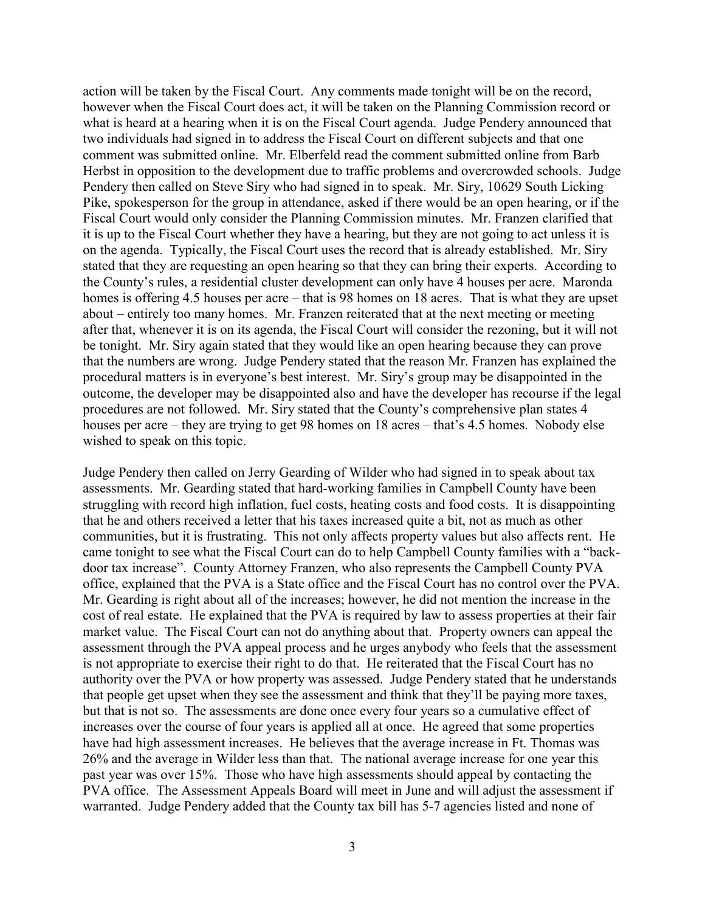action will be taken by the Fiscal Court. Any comments made tonight will be on the record, however when the Fiscal Court does act, it will be taken on the Planning Commission record or what is heard at a hearing when it is on the Fiscal Court agenda. Judge Pendery announced that two individuals had signed in to address the Fiscal Court on different subjects and that one comment was submitted online. Mr. Elberfeld read the comment submitted online from Barb Herbst in opposition to the development due to traffic problems and overcrowded schools. Judge Pendery then called on Steve Siry who had signed in to speak. Mr. Siry, 10629 South Licking Pike, spokesperson for the group in attendance, asked if there would be an open hearing, or if the Fiscal Court would only consider the Planning Commission minutes. Mr. Franzen clarified that it is up to the Fiscal Court whether they have a hearing, but they are not going to act unless it is on the agenda. Typically, the Fiscal Court uses the record that is already established. Mr. Siry stated that they are requesting an open hearing so that they can bring their experts. According to the County's rules, a residential cluster development can only have 4 houses per acre. Maronda homes is offering 4.5 houses per acre – that is 98 homes on 18 acres. That is what they are upset about – entirely too many homes. Mr. Franzen reiterated that at the next meeting or meeting after that, whenever it is on its agenda, the Fiscal Court will consider the rezoning, but it will not be tonight. Mr. Siry again stated that they would like an open hearing because they can prove that the numbers are wrong. Judge Pendery stated that the reason Mr. Franzen has explained the procedural matters is in everyone's best interest. Mr. Siry's group may be disappointed in the outcome, the developer may be disappointed also and have the developer has recourse if the legal procedures are not followed. Mr. Siry stated that the County's comprehensive plan states 4 houses per acre – they are trying to get 98 homes on 18 acres – that's 4.5 homes. Nobody else wished to speak on this topic.

Judge Pendery then called on Jerry Gearding of Wilder who had signed in to speak about tax assessments. Mr. Gearding stated that hard-working families in Campbell County have been struggling with record high inflation, fuel costs, heating costs and food costs. It is disappointing that he and others received a letter that his taxes increased quite a bit, not as much as other communities, but it is frustrating. This not only affects property values but also affects rent. He came tonight to see what the Fiscal Court can do to help Campbell County families with a "backdoor tax increase". County Attorney Franzen, who also represents the Campbell County PVA office, explained that the PVA is a State office and the Fiscal Court has no control over the PVA. Mr. Gearding is right about all of the increases; however, he did not mention the increase in the cost of real estate. He explained that the PVA is required by law to assess properties at their fair market value. The Fiscal Court can not do anything about that. Property owners can appeal the assessment through the PVA appeal process and he urges anybody who feels that the assessment is not appropriate to exercise their right to do that. He reiterated that the Fiscal Court has no authority over the PVA or how property was assessed. Judge Pendery stated that he understands that people get upset when they see the assessment and think that they'll be paying more taxes, but that is not so. The assessments are done once every four years so a cumulative effect of increases over the course of four years is applied all at once. He agreed that some properties have had high assessment increases. He believes that the average increase in Ft. Thomas was 26% and the average in Wilder less than that. The national average increase for one year this past year was over 15%. Those who have high assessments should appeal by contacting the PVA office. The Assessment Appeals Board will meet in June and will adjust the assessment if warranted. Judge Pendery added that the County tax bill has 5-7 agencies listed and none of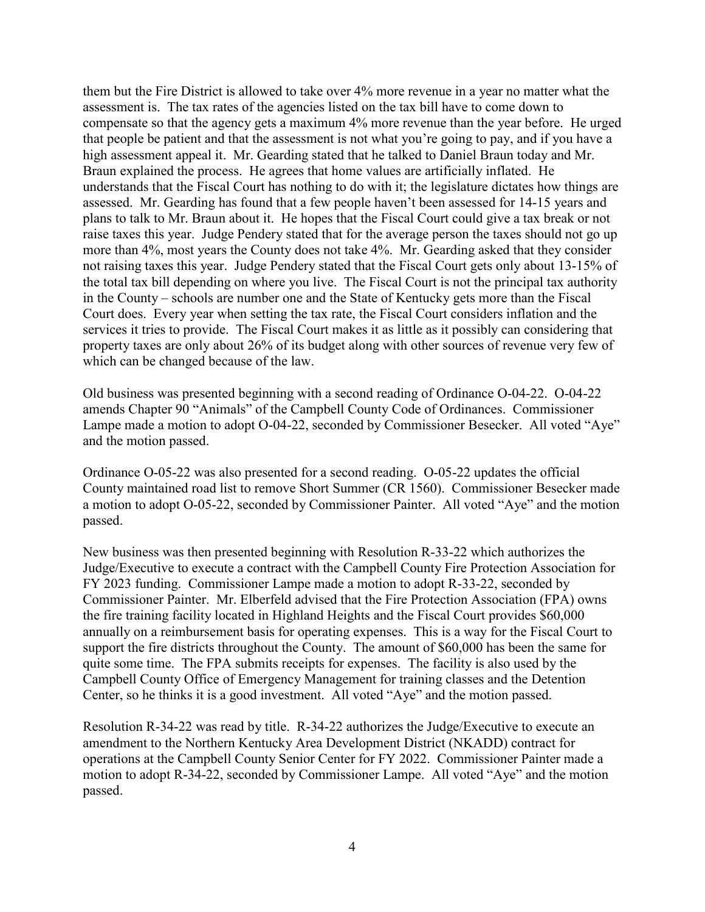them but the Fire District is allowed to take over 4% more revenue in a year no matter what the assessment is. The tax rates of the agencies listed on the tax bill have to come down to compensate so that the agency gets a maximum 4% more revenue than the year before. He urged that people be patient and that the assessment is not what you're going to pay, and if you have a high assessment appeal it. Mr. Gearding stated that he talked to Daniel Braun today and Mr. Braun explained the process. He agrees that home values are artificially inflated. He understands that the Fiscal Court has nothing to do with it; the legislature dictates how things are assessed. Mr. Gearding has found that a few people haven't been assessed for 14-15 years and plans to talk to Mr. Braun about it. He hopes that the Fiscal Court could give a tax break or not raise taxes this year. Judge Pendery stated that for the average person the taxes should not go up more than 4%, most years the County does not take 4%. Mr. Gearding asked that they consider not raising taxes this year. Judge Pendery stated that the Fiscal Court gets only about 13-15% of the total tax bill depending on where you live. The Fiscal Court is not the principal tax authority in the County – schools are number one and the State of Kentucky gets more than the Fiscal Court does. Every year when setting the tax rate, the Fiscal Court considers inflation and the services it tries to provide. The Fiscal Court makes it as little as it possibly can considering that property taxes are only about 26% of its budget along with other sources of revenue very few of which can be changed because of the law.

Old business was presented beginning with a second reading of Ordinance O-04-22. O-04-22 amends Chapter 90 "Animals" of the Campbell County Code of Ordinances. Commissioner Lampe made a motion to adopt O-04-22, seconded by Commissioner Besecker. All voted "Aye" and the motion passed.

Ordinance O-05-22 was also presented for a second reading. O-05-22 updates the official County maintained road list to remove Short Summer (CR 1560). Commissioner Besecker made a motion to adopt O-05-22, seconded by Commissioner Painter. All voted "Aye" and the motion passed.

New business was then presented beginning with Resolution R-33-22 which authorizes the Judge/Executive to execute a contract with the Campbell County Fire Protection Association for FY 2023 funding. Commissioner Lampe made a motion to adopt R-33-22, seconded by Commissioner Painter. Mr. Elberfeld advised that the Fire Protection Association (FPA) owns the fire training facility located in Highland Heights and the Fiscal Court provides \$60,000 annually on a reimbursement basis for operating expenses. This is a way for the Fiscal Court to support the fire districts throughout the County. The amount of \$60,000 has been the same for quite some time. The FPA submits receipts for expenses. The facility is also used by the Campbell County Office of Emergency Management for training classes and the Detention Center, so he thinks it is a good investment. All voted "Aye" and the motion passed.

Resolution R-34-22 was read by title. R-34-22 authorizes the Judge/Executive to execute an amendment to the Northern Kentucky Area Development District (NKADD) contract for operations at the Campbell County Senior Center for FY 2022. Commissioner Painter made a motion to adopt R-34-22, seconded by Commissioner Lampe. All voted "Aye" and the motion passed.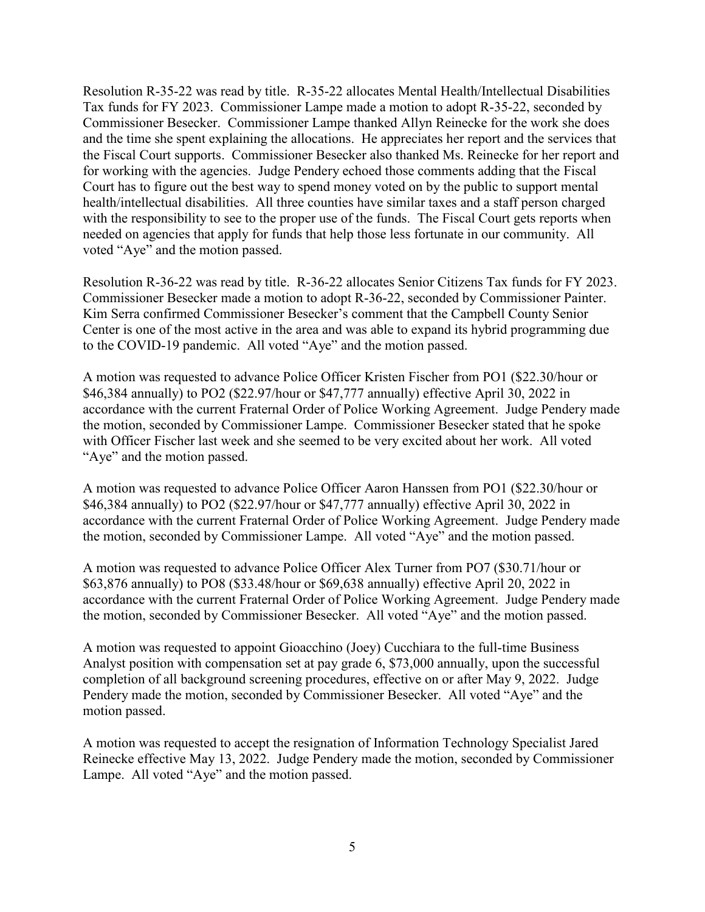Resolution R-35-22 was read by title. R-35-22 allocates Mental Health/Intellectual Disabilities Tax funds for FY 2023. Commissioner Lampe made a motion to adopt R-35-22, seconded by Commissioner Besecker. Commissioner Lampe thanked Allyn Reinecke for the work she does and the time she spent explaining the allocations. He appreciates her report and the services that the Fiscal Court supports. Commissioner Besecker also thanked Ms. Reinecke for her report and for working with the agencies. Judge Pendery echoed those comments adding that the Fiscal Court has to figure out the best way to spend money voted on by the public to support mental health/intellectual disabilities. All three counties have similar taxes and a staff person charged with the responsibility to see to the proper use of the funds. The Fiscal Court gets reports when needed on agencies that apply for funds that help those less fortunate in our community. All voted "Aye" and the motion passed.

Resolution R-36-22 was read by title. R-36-22 allocates Senior Citizens Tax funds for FY 2023. Commissioner Besecker made a motion to adopt R-36-22, seconded by Commissioner Painter. Kim Serra confirmed Commissioner Besecker's comment that the Campbell County Senior Center is one of the most active in the area and was able to expand its hybrid programming due to the COVID-19 pandemic. All voted "Aye" and the motion passed.

A motion was requested to advance Police Officer Kristen Fischer from PO1 (\$22.30/hour or \$46,384 annually) to PO2 (\$22.97/hour or \$47,777 annually) effective April 30, 2022 in accordance with the current Fraternal Order of Police Working Agreement. Judge Pendery made the motion, seconded by Commissioner Lampe. Commissioner Besecker stated that he spoke with Officer Fischer last week and she seemed to be very excited about her work. All voted "Aye" and the motion passed.

A motion was requested to advance Police Officer Aaron Hanssen from PO1 (\$22.30/hour or \$46,384 annually) to PO2 (\$22.97/hour or \$47,777 annually) effective April 30, 2022 in accordance with the current Fraternal Order of Police Working Agreement. Judge Pendery made the motion, seconded by Commissioner Lampe. All voted "Aye" and the motion passed.

A motion was requested to advance Police Officer Alex Turner from PO7 (\$30.71/hour or \$63,876 annually) to PO8 (\$33.48/hour or \$69,638 annually) effective April 20, 2022 in accordance with the current Fraternal Order of Police Working Agreement. Judge Pendery made the motion, seconded by Commissioner Besecker. All voted "Aye" and the motion passed.

A motion was requested to appoint Gioacchino (Joey) Cucchiara to the full-time Business Analyst position with compensation set at pay grade 6, \$73,000 annually, upon the successful completion of all background screening procedures, effective on or after May 9, 2022. Judge Pendery made the motion, seconded by Commissioner Besecker. All voted "Aye" and the motion passed.

A motion was requested to accept the resignation of Information Technology Specialist Jared Reinecke effective May 13, 2022. Judge Pendery made the motion, seconded by Commissioner Lampe. All voted "Aye" and the motion passed.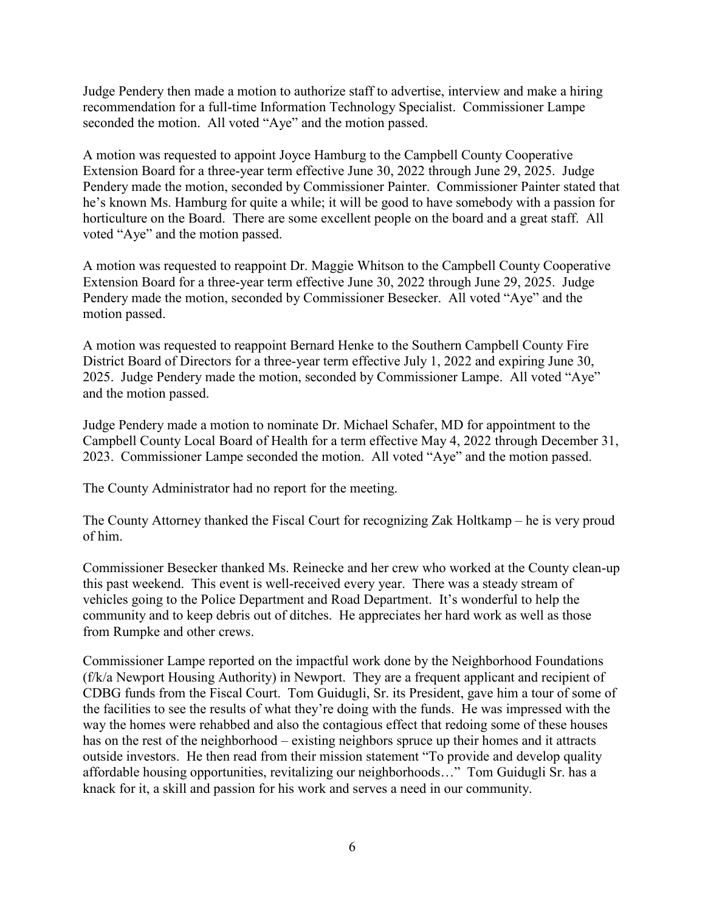Judge Pendery then made a motion to authorize staff to advertise, interview and make a hiring recommendation for a full-time Information Technology Specialist. Commissioner Lampe seconded the motion. All voted "Aye" and the motion passed.

A motion was requested to appoint Joyce Hamburg to the Campbell County Cooperative Extension Board for a three-year term effective June 30, 2022 through June 29, 2025. Judge Pendery made the motion, seconded by Commissioner Painter. Commissioner Painter stated that he's known Ms. Hamburg for quite a while; it will be good to have somebody with a passion for horticulture on the Board. There are some excellent people on the board and a great staff. All voted "Aye" and the motion passed.

A motion was requested to reappoint Dr. Maggie Whitson to the Campbell County Cooperative Extension Board for a three-year term effective June 30, 2022 through June 29, 2025. Judge Pendery made the motion, seconded by Commissioner Besecker. All voted "Aye" and the motion passed.

A motion was requested to reappoint Bernard Henke to the Southern Campbell County Fire District Board of Directors for a three-year term effective July 1, 2022 and expiring June 30, 2025. Judge Pendery made the motion, seconded by Commissioner Lampe. All voted "Aye" and the motion passed.

Judge Pendery made a motion to nominate Dr. Michael Schafer, MD for appointment to the Campbell County Local Board of Health for a term effective May 4, 2022 through December 31, 2023. Commissioner Lampe seconded the motion. All voted "Aye" and the motion passed.

The County Administrator had no report for the meeting.

The County Attorney thanked the Fiscal Court for recognizing Zak Holtkamp – he is very proud of him.

Commissioner Besecker thanked Ms. Reinecke and her crew who worked at the County clean-up this past weekend. This event is well-received every year. There was a steady stream of vehicles going to the Police Department and Road Department. It's wonderful to help the community and to keep debris out of ditches. He appreciates her hard work as well as those from Rumpke and other crews.

Commissioner Lampe reported on the impactful work done by the Neighborhood Foundations (f/k/a Newport Housing Authority) in Newport. They are a frequent applicant and recipient of CDBG funds from the Fiscal Court. Tom Guidugli, Sr. its President, gave him a tour of some of the facilities to see the results of what they're doing with the funds. He was impressed with the way the homes were rehabbed and also the contagious effect that redoing some of these houses has on the rest of the neighborhood – existing neighbors spruce up their homes and it attracts outside investors. He then read from their mission statement "To provide and develop quality affordable housing opportunities, revitalizing our neighborhoods…" Tom Guidugli Sr. has a knack for it, a skill and passion for his work and serves a need in our community.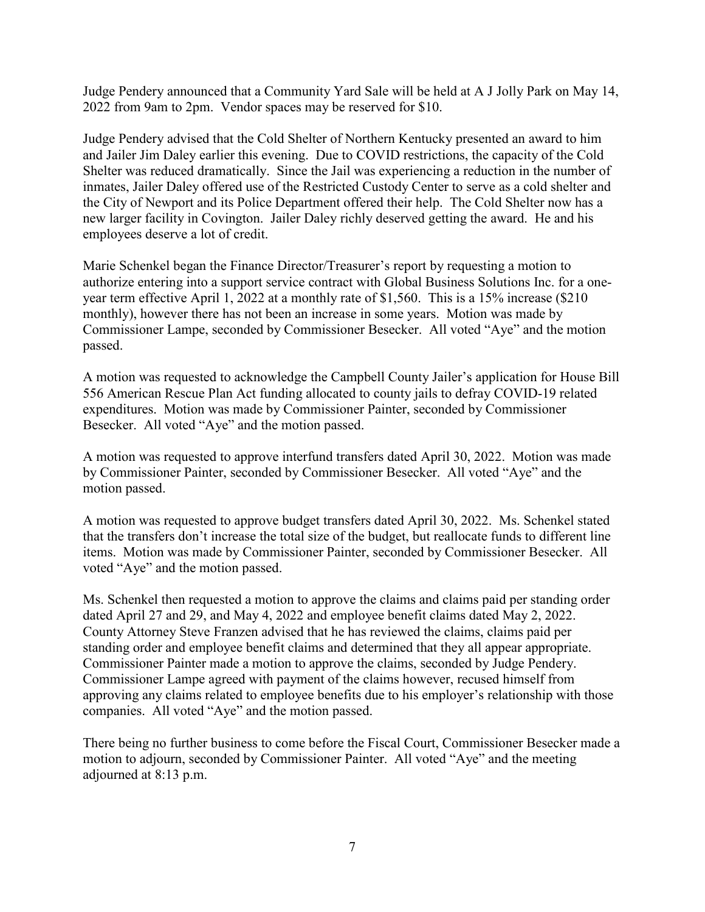Judge Pendery announced that a Community Yard Sale will be held at A J Jolly Park on May 14, 2022 from 9am to 2pm. Vendor spaces may be reserved for \$10.

Judge Pendery advised that the Cold Shelter of Northern Kentucky presented an award to him and Jailer Jim Daley earlier this evening. Due to COVID restrictions, the capacity of the Cold Shelter was reduced dramatically. Since the Jail was experiencing a reduction in the number of inmates, Jailer Daley offered use of the Restricted Custody Center to serve as a cold shelter and the City of Newport and its Police Department offered their help. The Cold Shelter now has a new larger facility in Covington. Jailer Daley richly deserved getting the award. He and his employees deserve a lot of credit.

Marie Schenkel began the Finance Director/Treasurer's report by requesting a motion to authorize entering into a support service contract with Global Business Solutions Inc. for a oneyear term effective April 1, 2022 at a monthly rate of \$1,560. This is a 15% increase (\$210 monthly), however there has not been an increase in some years. Motion was made by Commissioner Lampe, seconded by Commissioner Besecker. All voted "Aye" and the motion passed.

A motion was requested to acknowledge the Campbell County Jailer's application for House Bill 556 American Rescue Plan Act funding allocated to county jails to defray COVID-19 related expenditures. Motion was made by Commissioner Painter, seconded by Commissioner Besecker. All voted "Aye" and the motion passed.

A motion was requested to approve interfund transfers dated April 30, 2022. Motion was made by Commissioner Painter, seconded by Commissioner Besecker. All voted "Aye" and the motion passed.

A motion was requested to approve budget transfers dated April 30, 2022. Ms. Schenkel stated that the transfers don't increase the total size of the budget, but reallocate funds to different line items. Motion was made by Commissioner Painter, seconded by Commissioner Besecker. All voted "Aye" and the motion passed.

Ms. Schenkel then requested a motion to approve the claims and claims paid per standing order dated April 27 and 29, and May 4, 2022 and employee benefit claims dated May 2, 2022. County Attorney Steve Franzen advised that he has reviewed the claims, claims paid per standing order and employee benefit claims and determined that they all appear appropriate. Commissioner Painter made a motion to approve the claims, seconded by Judge Pendery. Commissioner Lampe agreed with payment of the claims however, recused himself from approving any claims related to employee benefits due to his employer's relationship with those companies. All voted "Aye" and the motion passed.

There being no further business to come before the Fiscal Court, Commissioner Besecker made a motion to adjourn, seconded by Commissioner Painter. All voted "Aye" and the meeting adjourned at 8:13 p.m.